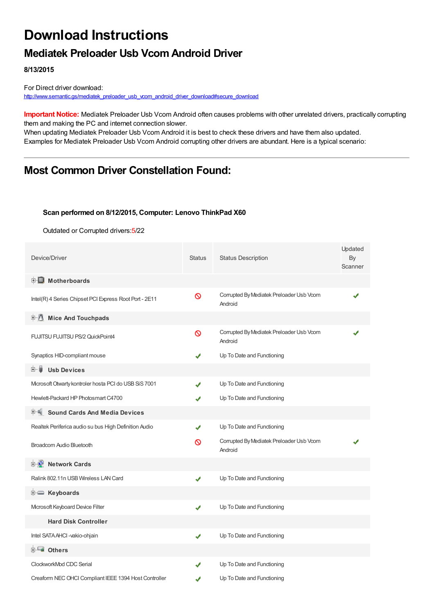# **Download Instructions**

### **Mediatek Preloader Usb Vcom Android Driver**

**8/13/2015**

For Direct driver download: [http://www.semantic.gs/mediatek\\_preloader\\_usb\\_vcom\\_android\\_driver\\_download#secure\\_download](http://www.semantic.gs/mediatek_preloader_usb_vcom_android_driver_download#secure_download)

**Important Notice:** Mediatek Preloader Usb Vcom Android often causes problems with other unrelated drivers, practically corrupting them and making the PC and internet connection slower.

When updating Mediatek Preloader Usb Vcom Android it is best to check these drivers and have them also updated. Examples for Mediatek Preloader Usb Vcom Android corrupting other drivers are abundant. Here is a typical scenario:

## **Most Common Driver Constellation Found:**

#### **Scan performed on 8/12/2015, Computer: Lenovo ThinkPad X60**

Outdated or Corrupted drivers:5/22

| Device/Driver                                          | <b>Status</b> | <b>Status Description</b>                           | Updated<br>By<br>Scanner |
|--------------------------------------------------------|---------------|-----------------------------------------------------|--------------------------|
| <b>E</b> Motherboards                                  |               |                                                     |                          |
| Intel(R) 4 Series Chipset PCI Express Root Port - 2E11 | ଷ             | Corrupted By Mediatek Preloader Usb Vcom<br>Android |                          |
| 中心 Mice And Touchpads                                  |               |                                                     |                          |
| FUJITSU FUJITSU PS/2 QuickPoint4                       | $\infty$      | Corrupted By Mediatek Preloader Usb Vcom<br>Android |                          |
| Synaptics HID-compliant mouse                          |               | Up To Date and Functioning                          |                          |
| <b>Usb Devices</b><br>⊞…■                              |               |                                                     |                          |
| Microsoft Otwarty kontroler hosta PCI do USB SiS 7001  | J             | Up To Date and Functioning                          |                          |
| Hewlett-Packard HP Photosmart C4700                    |               | Up To Date and Functioning                          |                          |
| FH Sound Cards And Media Devices                       |               |                                                     |                          |
| Realtek Periferica audio su bus High Definition Audio  | ✔             | Up To Date and Functioning                          |                          |
| Broadcom Audio Bluetooth                               | ၹ             | Corrupted By Mediatek Preloader Usb Vcom<br>Android |                          |
| <b>E</b> Network Cards                                 |               |                                                     |                          |
| Ralink 802.11n USB Wireless LAN Card                   | ✔             | Up To Date and Functioning                          |                          |
| <b>i</b> Keyboards                                     |               |                                                     |                          |
| Microsoft Keyboard Device Filter                       | ✔             | Up To Date and Functioning                          |                          |
| <b>Hard Disk Controller</b>                            |               |                                                     |                          |
| Intel SATA AHCI -vakio-ohjain                          | ✔             | Up To Date and Functioning                          |                          |
| <b>E</b> Others                                        |               |                                                     |                          |
| ClockworkMod CDC Serial                                |               | Up To Date and Functioning                          |                          |
| Creaform NEC OHCI Compliant IEEE 1394 Host Controller  |               | Up To Date and Functioning                          |                          |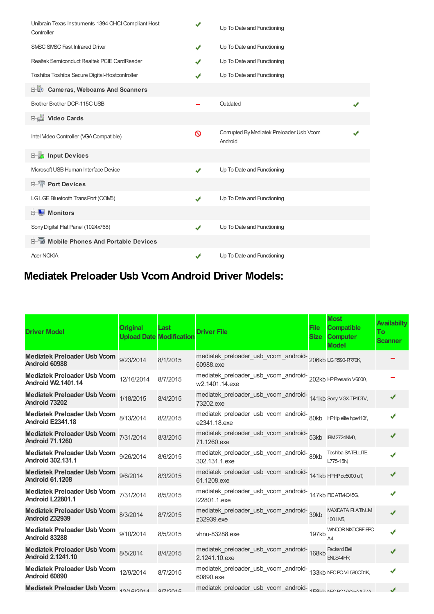| Unibrain Texas Instruments 1394 OHCI Compliant Host<br>Controller | ✔ | Up To Date and Functioning                          |  |
|-------------------------------------------------------------------|---|-----------------------------------------------------|--|
| <b>SMSC SMSC Fast Infrared Driver</b>                             | ✔ | Up To Date and Functioning                          |  |
| Realtek Semiconduct Realtek PCIE CardReader                       | ✔ | Up To Date and Functioning                          |  |
| Toshiba Toshiba Secure Digital-Hostcontroller                     |   | Up To Date and Functioning                          |  |
| <b>D</b> Cameras, Webcams And Scanners                            |   |                                                     |  |
| Brother Brother DCP-115C USB                                      |   | Outdated                                            |  |
| Video Cards                                                       |   |                                                     |  |
| Intel Video Controller (VGA Compatible)                           | ∾ | Corrupted By Mediatek Preloader Usb Vcom<br>Android |  |
| <b>Devices</b> Input Devices                                      |   |                                                     |  |
| Microsoft USB Human Interface Device                              | ✔ | Up To Date and Functioning                          |  |
| <b>E-TP</b> Port Devices                                          |   |                                                     |  |
| LGLGE Bluetooth TransPort (COM5)                                  | ✔ | Up To Date and Functioning                          |  |
| <b>E</b> Monitors                                                 |   |                                                     |  |
| Sony Digital Flat Panel (1024x768)                                | ✔ | Up To Date and Functioning                          |  |
| 中国 Mobile Phones And Portable Devices                             |   |                                                     |  |
| <b>Acer NOKIA</b>                                                 | ✔ | Up To Date and Functioning                          |  |

## **Mediatek Preloader Usb Vcom Android Driver Models:**

| <b>Driver Model</b>                                                 | Original<br><b>Upload Date Modification</b> | Last     | <b>Driver File</b>                                                               | <b>File</b><br><b>Size</b> | <b>Most</b><br><b>Compatible</b><br><b>Computer</b><br><b>Model</b> | <b>Availabilty</b><br>To<br><b>Scanner</b> |
|---------------------------------------------------------------------|---------------------------------------------|----------|----------------------------------------------------------------------------------|----------------------------|---------------------------------------------------------------------|--------------------------------------------|
| Mediatek Preloader Usb Vcom 9/23/2014<br>Android 60988              |                                             | 8/1/2015 | mediatek_preloader_usb_vcom_android-206kb LGR590-PR70K,<br>60988.exe             |                            |                                                                     |                                            |
| Mediatek Preloader Usb Vcom 12/16/2014<br><b>Android W2.1401.14</b> |                                             | 8/7/2015 | mediatek_preloader_usb_vcom_android-202kb HPPresario V6000,<br>w2.1401.14.exe    |                            |                                                                     |                                            |
| Mediatek Preloader Usb Vcom 1/18/2015<br>Android 73202              |                                             | 8/4/2015 | mediatek_preloader_usb_vcom_android-<br>141kb Sony VGX-TPIDTV,<br>73202.exe      |                            |                                                                     |                                            |
| Mediatek Preloader Usb Vcom 8/13/2014<br><b>Android E2341.18</b>    |                                             | 8/2/2015 | mediatek_preloader_usb_vcom_android-<br>80kb HPHp elite hpe410f,<br>e2341.18.exe |                            |                                                                     |                                            |
| Mediatek Preloader Usb Vcom 7/31/2014<br><b>Android 71.1260</b>     |                                             | 8/3/2015 | mediatek_preloader_usb_vcom_android-<br>53kb BM2724NM,<br>71.1260.exe            |                            |                                                                     | J                                          |
| <b>Mediatek Preloader Usb Vcom</b><br><b>Android 302.131.1</b>      | 9/26/2014                                   | 8/6/2015 | mediatek_preloader_usb_vcom_android-89kb<br>302.131.1.exe                        |                            | Toshiba SATELLITE<br>L775-15N                                       |                                            |
| Mediatek Preloader Usb Vcom 9/6/2014<br><b>Android 61.1208</b>      |                                             | 8/3/2015 | mediatek_preloader_usb_vcom_android-<br>141kb HPHPdc5000 uT,<br>61.1208.exe      |                            |                                                                     | J                                          |
| Mediatek Preloader Usb Vcom 7/31/2014<br>Android L22801.1           |                                             | 8/5/2015 | mediatek_preloader_usb_vcom_android-147kb FCATMQ45G,<br>I22801.1.exe             |                            |                                                                     |                                            |
| Mediatek Preloader Usb Vcom 8/3/2014<br>Android Z32939              |                                             | 8/7/2015 | mediatek_preloader_usb_vcom_android-<br>39kb<br>z32939.exe                       |                            | <b>MAXDATA PLATINUM</b><br>100 IM <sub>5</sub> ,                    | J                                          |
| Mediatek Preloader Usb Vcom 9/10/2014<br>Android 83288              |                                             | 8/5/2015 | vhnu-83288.exe                                                                   | 197kb                      | <b>WINCOR NIXDORF EPC</b><br>A4.                                    |                                            |
| Mediatek Preloader Usb Vcom 8/5/2014<br><b>Android 2.1241.10</b>    |                                             | 8/4/2015 | mediatek_preloader_usb_vcom_android-<br>168kb<br>2.1241.10.exe                   |                            | <b>Packard Bell</b><br><b>ENLS44HR</b>                              |                                            |
| Mediatek Preloader Usb Vcom 12/9/2014<br>Android 60890              |                                             | 8/7/2015 | mediatek_preloader_usb_vcom_android-133kb NECPC-VL580CD1K,<br>60890.exe          |                            |                                                                     |                                            |
| Mediatek Preloader Usb Vcom 19/16/2014                              |                                             | 8/7/2015 | mediatek_preloader_usb_vcom_android-458Lh NECROLIV2544774                        |                            |                                                                     |                                            |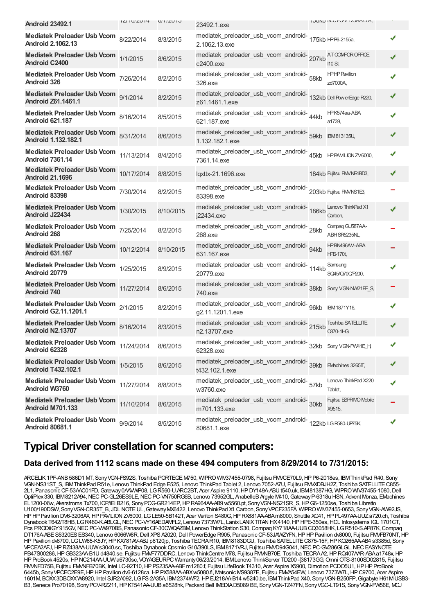| <b>Android 23492.1</b>                                            | $ L $ $ U L$ $ H $ | UIIIZUIU  | 23492.1.exe                                                                      | <b>I JONU INEU FU V I ZUMMETA,</b>       |  |
|-------------------------------------------------------------------|--------------------|-----------|----------------------------------------------------------------------------------|------------------------------------------|--|
| <b>Mediatek Preloader Usb Vcom</b><br><b>Android 2.1062.13</b>    | 8/22/2014          | 8/3/2015  | mediatek_preloader_usb_vcom_android-<br>175kb HPF6-2155a,<br>2.1062.13.exe       |                                          |  |
| <b>Mediatek Preloader Usb Vcom</b><br>Android C2400               | 1/1/2015           | 8/6/2015  | mediatek_preloader_usb_vcom_android-207kb<br>c2400.exe                           | AT COMFOR OFFICE<br>110 SI,              |  |
| <b>Mediatek Preloader Usb Vcom</b><br><b>Android 326</b>          | 7/26/2014          | 8/2/2015  | mediatek_preloader_usb_vcom_android- 58kb<br>326.exe                             | <b>HPHPPavilion</b><br>zd7000A,          |  |
| <b>Mediatek Preloader Usb Vcom</b><br><b>Android Z61,1461.1</b>   | 9/1/2014           | 8/2/2015  | mediatek_preloader_usb_vcom_android-<br>z61.1461.1.exe                           | 132kb Dell PowerEdge R220,               |  |
| <b>Mediatek Preloader Usb Vcom</b><br><b>Android 621.187</b>      | 8/16/2014          | 8/5/2015  | mediatek_preloader_usb_vcom_android-44kb<br>621.187.exe                          | HPK574aa-ABA<br>a1739,                   |  |
| <b>Mediatek Preloader Usb Vcom</b><br><b>Android 1.132.182.1</b>  | 8/31/2014          | 8/6/2015  | mediatek_preloader_usb_vcom_android-<br>59kb BM813135U,<br>1.132.182.1.exe       |                                          |  |
| <b>Mediatek Preloader Usb Vcom</b><br><b>Android 7361.14</b>      | 11/13/2014         | 8/4/2015  | mediatek_preloader_usb_vcom_android-<br>7361.14.exe                              | 45kb HPPAVILIONZV6000,                   |  |
| <b>Mediatek Preloader Usb Vcom</b><br><b>Android 21.1696</b>      | 10/17/2014         | 8/8/2015  | lqxttx-21.1696.exe                                                               | 184kb Fujitsu FM/NE4BD3,                 |  |
| <b>Mediatek Preloader Usb Vcom</b><br>Android 83398               | 7/30/2014          | 8/2/2015  | mediatek_preloader_usb_vcom_android-203kb Fujitsu FM/NS1E3,<br>83398.exe         |                                          |  |
| <b>Mediatek Preloader Usb Vcom</b><br>Android J22434              | 1/30/2015          | 8/10/2015 | mediatek_preloader_usb_vcom_android-186kb<br>j22434.exe                          | Lenovo ThinkPad X1<br>Carbon,            |  |
| <b>Mediatek Preloader Usb Vcom</b><br><b>Android 268</b>          | 7/25/2014          | 8/2/2015  | mediatek_preloader_usb_vcom_android-28kb<br>268.exe                              | Compaq GU587AA-<br>ABH SR5235NL,         |  |
| <b>Mediatek Preloader Usb Vcom</b><br><b>Android 631.167</b>      | 10/12/2014         | 8/10/2015 | mediatek_preloader_usb_vcom_android- 94kb<br>631.167.exe                         | <b>HPBN496AV-ABA</b><br><b>HPE-170t,</b> |  |
| <b>Mediatek Preloader Usb Vcom</b><br>Android 20779               | 1/25/2015          | 8/9/2015  | mediatek_preloader_usb_vcom_android-<br>114kb<br>20779.exe                       | Samsung<br>SQ45/Q70C/P200,               |  |
| <b>Mediatek Preloader Usb Vcom</b><br><b>Android 740</b>          | 11/27/2014         | 8/6/2015  | mediatek_preloader_usb_vcom_android-<br>38kb<br>740.exe                          | Sony VGN-NW21EF_S,                       |  |
| <b>Mediatek Preloader Usb Vcom</b><br><b>Android G2.11.1201.1</b> | 2/1/2015           | 8/2/2015  | mediatek_preloader_usb_vcom_android- 96kb<br>g2.11.1201.1.exe                    | IBM 1871Y16,                             |  |
| Mediatek Preloader Usb Vcom 8/16/2014<br><b>Android N2.13707</b>  |                    | 8/3/2015  | mediatek_preloader_usb_vcom_android-<br>215kb<br>n2.13707.exe                    | Toshiba SATELLITE<br>C870-1HG,           |  |
| Mediatek Preloader Usb Vcom 11/24/2014 8/6/2015<br>Android 62328  |                    |           | mediatek_preloader_usb_vcom_android-<br>32kb Sony VGN-FW41E_H,<br>62328.exe      |                                          |  |
| <b>Mediatek Preloader Usb Vcom</b><br><b>Android T432.102.1</b>   | 1/5/2015           | 8/6/2015  | mediatek_preloader_usb_vcom_android-<br>39kb EVachines 3265IT,<br>t432.102.1.exe |                                          |  |
| <b>Mediatek Preloader Usb Vcom</b><br><b>Android W3760</b>        | 11/27/2014         | 8/8/2015  | mediatek_preloader_usb_vcom_android-f7kb<br>w3760.exe                            | Lenovo ThinkPad X220<br>Tablet,          |  |
| <b>Mediatek Preloader Usb Vcom</b><br><b>Android M701.133</b>     | 11/10/2014         | 8/6/2015  | mediatek_preloader_usb_vcom_android- 30kb<br>m701.133.exe                        | Fujitsu ESPRIMO Mobile<br>X9515,         |  |
| <b>Mediatek Preloader Usb Vcom</b><br><b>Android 80681.1</b>      | 9/9/2014           | 8/5/2015  | mediatek_preloader_usb_vcom_android-<br>122kb LGR580-UP75K,<br>80681.1.exe       |                                          |  |

## **Typical Driver constellation for scanned computers:**

#### **Data derived from 1112 scans made on these 494 computers from 8/29/2014 to 7/31/2015:**

ARCELIK1PF-ANB586D1 MT, SonyVGN-FS92S, Toshiba PORTEGEM750, WIPROWIV37455-0798, Fujitsu FMVCE70L9,HPP6-2018es, IBMThinkPad R40, Sony VGN-NS31ST\_S, IBMThinkPad R51e, Lenovo ThinkPad Edge E525, Lenovo ThinkPad Tablet 2, Lenovo 7052-A7U, Fujitsu FMVXDBJH2Z, Toshiba SATELLITEC855- 2L1, PanasonicCF-53AAC01FD,Gateway0AAVWP08, LGR560-U.ARC2BT, Acer Aspire 9110,HPDY149A-ABUt540.uk, IBM81387HG, WIPROWIV37455-1080,Dell OptiPlex330, IBM8212A94, NEC PC-GL26ES9LE, NEC PC-VN750RG6B, Lenovo 73952GL, AnabelleB Argyle M410, Gateway P-6318u HSN, Advent Monza, EMachines EL1200-06w, Akerstroms Tx700, ICP/iEi B216, SonyPCG-GR214EP,HPRA964AA-AB9 w5560.pt, SonyVGN-NS21SR\_S,HPG6-1250se, Toshiba Libretto U100/190DSW, SonyVGN-CR35T\_B, JDL NOTEUL,GatewayMX6422, Lenovo ThinkPad X1 Carbon, SonyVPCF235FA, WIPROWIV37455-0653, SonyVGN-AW92JS, HPHPPavilion DV6-3206AX,HPPAVILIONZV6000, LGLE50-5B142T, Acer Veriton S480G,HPRX881AA-ABAm8000, Shuttle XG41,HPPL497AA-UUZa720.ch, Toshiba Dynabook T642/T8HB, LG R460-K.ABLGL, NEC PC-VY16AEDAWFL2, Lenovo 7373W7L, Lanix LANIXTITAN HX4140, HP HPE-350es, HCL Infosystems IGL 1701CT, Pcs PRODiiGY915GV, NEC PC-VW970BS, Panasonic CF-30CWQAZBM, Lenovo ThinkStation S30, Compaq KY718AA-UUB CQ3058HK, LGR510-S.AP87K, Compaq DT176A-ABE S5320ES ES340, Lenovo 6066W8R, Dell XPS A2020, Dell PowerEdge R905, Panasonic CF-53JAWZYFN, HP HP Pavilion dv8000, Fujitsu FMVFB70NT, HP HPPavilion dv6700, LGLW65-K5JY,HPKX781AV-ABJ p6120jp, Toshiba TECRAR10, IBM8183DGU, Toshiba SATELLITEC875-15F,HPKQ265AA-AB4 s3385d, Sony VPCEA2AFJ, HP RZ438AA-UUW s3040.sc, Toshiba Dynabook Qosmio G10/390LS, IBM8171VRJ, Fujitsu FMD94G041, NEC PC-GV286GLGL, NEC EASYNOTE PB47S00286, HP GB323AA-B1U d4840.se, Fujitsu FMVF77DDRC, Lenovo ThinkCentre M78, Fujitsu FMMB70E, Toshiba TECRAA2, HP RQ407AAR-ABAa1748x, HP HPProBook 4520s,HPNC214AA-UUWa6730sc, VOYAGEURPC Warranty06/23/2014, IBMLenovo ThinkServer TD200 -[38173GG,Omni OTS-8100SD02815, Fujitsu FMMFD75B, Fujitsu FMMFB70BK, Intel LC-92T10, HP PS235AA-ABF m1280.f, Fujitsu LifeBook T4310, Acer Aspire X5900, Dimotion PCDO5U1, HP HP ProBook 6445b, SonyVPCEC2E9E,HPHPPavilion dv6-6128ca,HPPX588AA-ABXw5080.fi, Matsonic MS9387E, Fujitsu FMVA54EW, Lenovo 7373W7L,HPC9700, Acer Aspire 1601M, BOXX3DBOXXW8920, Intel SJR2A092, LGFS-2A35A, IBM2374WF2,HPEJ218AA-B14 w5240.be, IBMThinkPad X40, SonyVGN-B250FP,Gigabyte H61M-USB3- B3, Seneca Pro70198, Sony PCV-RZ211, HP KT541AA-UUB a6528hk, Packard Bell IMEDIAD5089 BE, Sony VGN-TZ47FN, Sony VGC-LT91S, Sony VGN-FW56E, MCJ